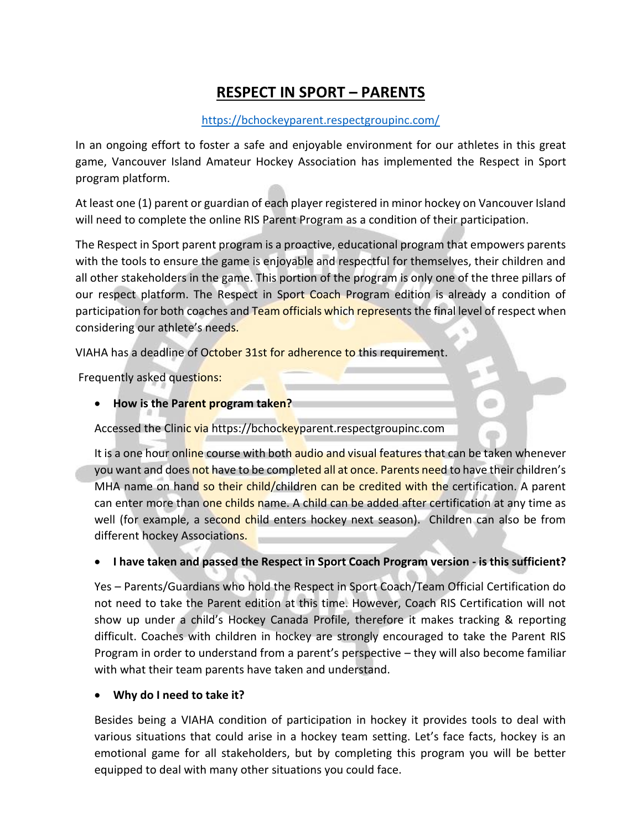# **RESPECT IN SPORT – PARENTS**

#### <https://bchockeyparent.respectgroupinc.com/>

In an ongoing effort to foster a safe and enjoyable environment for our athletes in this great game, Vancouver Island Amateur Hockey Association has implemented the Respect in Sport program platform.

At least one (1) parent or guardian of each player registered in minor hockey on Vancouver Island will need to complete the online RIS Parent Program as a condition of their participation.

The Respect in Sport parent program is a proactive, educational program that empowers parents with the tools to ensure the game is enjoyable and respectful for themselves, their children and all other stakeholders in the game. This portion of the program is only one of the three pillars of our respect platform. The Respect in Sport Coach Program edition is already a condition of participation for both coaches and Team officials which represents the final level of respect when considering our athlete's needs.

VIAHA has a deadline of October 31st for adherence to this requirement.

Frequently asked questions:

• **How is the Parent program taken?**

Accessed the Clinic via https://bchockeyparent.respectgroupinc.com

It is a one hour online course with both audio and visual features that can be taken whenever you want and does not have to be completed all at once. Parents need to have their children's MHA name on hand so their child/children can be credited with the certification. A parent can enter more than one childs name. A child can be added after certification at any time as well (for example, a second child enters hockey next season). Children can also be from different hockey Associations.

#### • **I have taken and passed the Respect in Sport Coach Program version - is this sufficient?**

Yes – Parents/Guardians who hold the Respect in Sport Coach/Team Official Certification do not need to take the Parent edition at this time. However, Coach RIS Certification will not show up under a child's Hockey Canada Profile, therefore it makes tracking & reporting difficult. Coaches with children in hockey are strongly encouraged to take the Parent RIS Program in order to understand from a parent's perspective – they will also become familiar with what their team parents have taken and understand.

#### • **Why do I need to take it?**

Besides being a VIAHA condition of participation in hockey it provides tools to deal with various situations that could arise in a hockey team setting. Let's face facts, hockey is an emotional game for all stakeholders, but by completing this program you will be better equipped to deal with many other situations you could face.